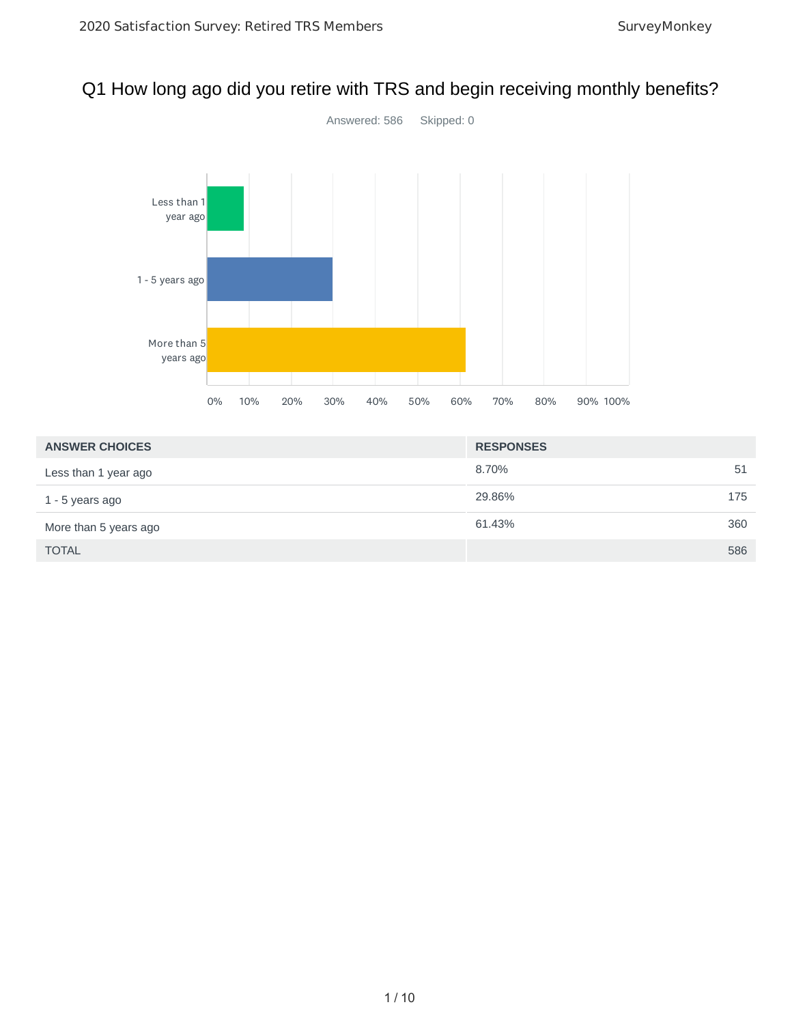# Q1 How long ago did you retire with TRS and begin receiving monthly benefits?



| <b>ANSWER CHOICES</b> | <b>RESPONSES</b> |
|-----------------------|------------------|
| Less than 1 year ago  | 8.70%<br>51      |
| 1 - 5 years ago       | 29.86%<br>175    |
| More than 5 years ago | 360<br>61.43%    |
| <b>TOTAL</b>          | 586              |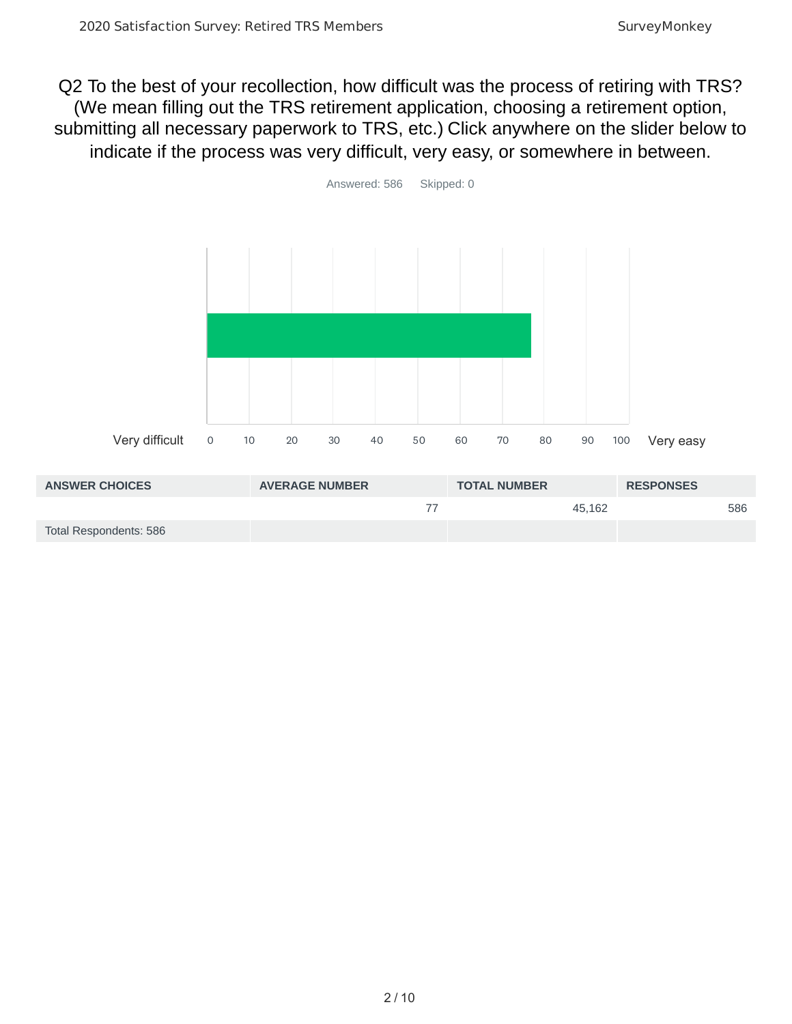Q2 To the best of your recollection, how difficult was the process of retiring with TRS? (We mean filling out the TRS retirement application, choosing a retirement option, submitting all necessary paperwork to TRS, etc.) Click anywhere on the slider below to indicate if the process was very difficult, very easy, or somewhere in between.



| <b>ANSWER CHOICES</b>  | <b>AVERAGE NUMBER</b> | <b>TOTAL NUMBER</b> | <b>RESPONSES</b> |
|------------------------|-----------------------|---------------------|------------------|
|                        |                       | 45.162              | 586              |
| Total Respondents: 586 |                       |                     |                  |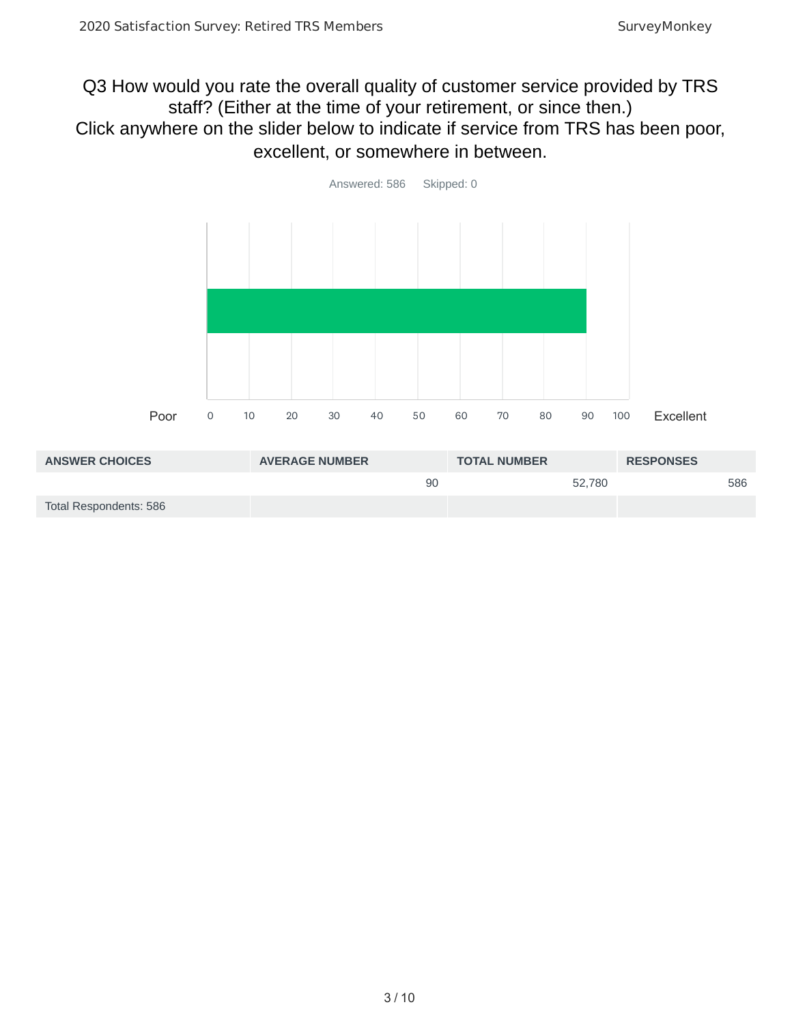## Q3 How would you rate the overall quality of customer service provided by TRS staff? (Either at the time of your retirement, or since then.) Click anywhere on the slider below to indicate if service from TRS has been poor, excellent, or somewhere in between.



| <b>ANSWER CHOICES</b>  | <b>AVERAGE NUMBER</b> | <b>TOTAL NUMBER</b> | <b>RESPONSES</b> |
|------------------------|-----------------------|---------------------|------------------|
|                        | 90                    | 52.780              | 586              |
| Total Respondents: 586 |                       |                     |                  |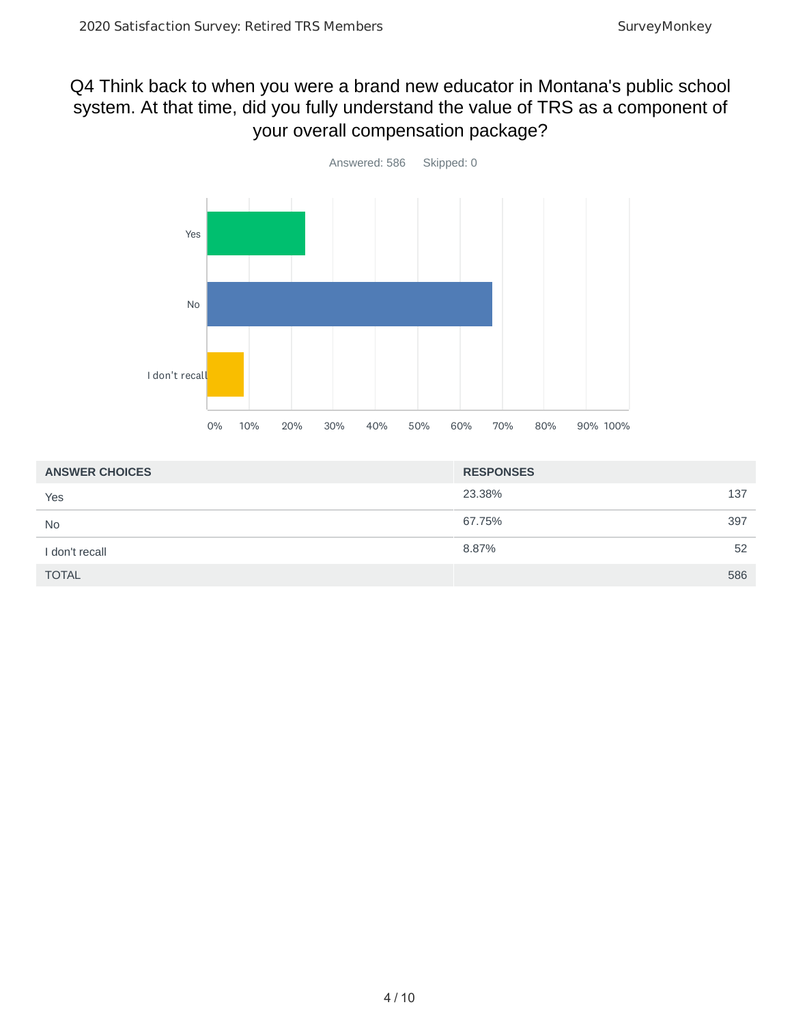## Q4 Think back to when you were a brand new educator in Montana's public school system. At that time, did you fully understand the value of TRS as a component of your overall compensation package?



| <b>ANSWER CHOICES</b> | <b>RESPONSES</b> |
|-----------------------|------------------|
| Yes                   | 23.38%<br>137    |
| <b>No</b>             | 67.75%<br>397    |
| I don't recall        | 8.87%<br>52      |
| <b>TOTAL</b>          | 586              |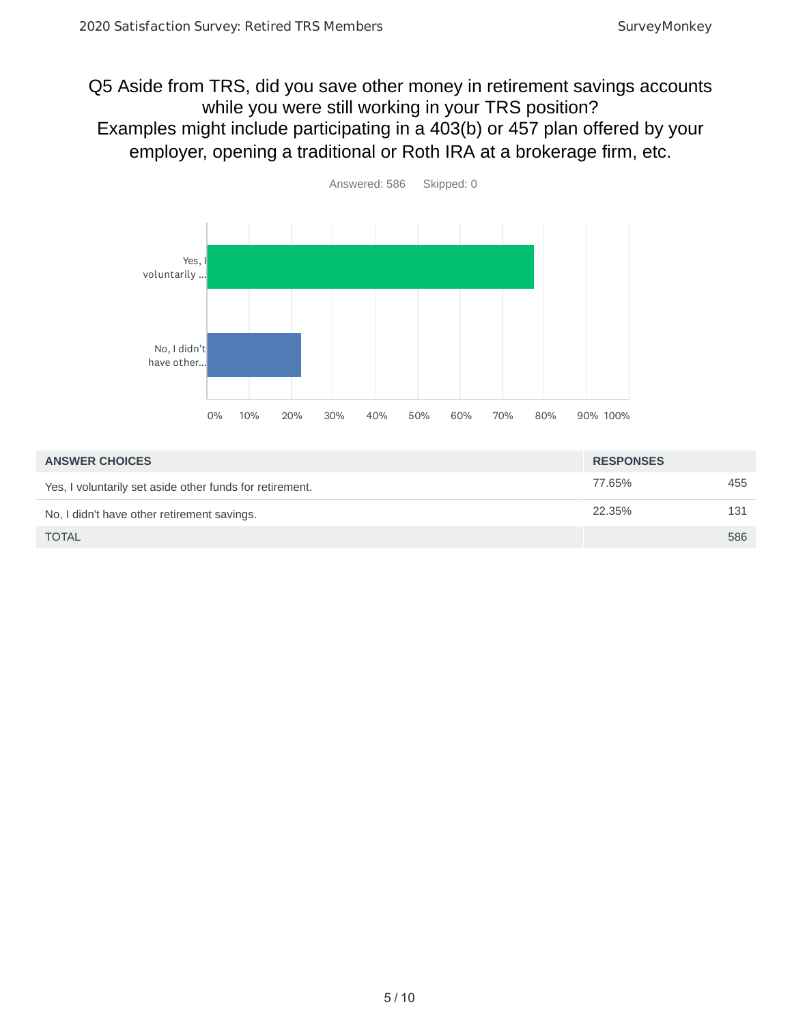#### Q5 Aside from TRS, did you save other money in retirement savings accounts while you were still working in your TRS position? Examples might include participating in a 403(b) or 457 plan offered by your employer, opening a traditional or Roth IRA at a brokerage firm, etc.



| <b>ANSWER CHOICES</b>                                    | <b>RESPONSES</b> |     |
|----------------------------------------------------------|------------------|-----|
| Yes, I voluntarily set aside other funds for retirement. | 77.65%           | 455 |
| No, I didn't have other retirement savings.              | 22.35%           | 131 |
| <b>TOTAL</b>                                             |                  | 586 |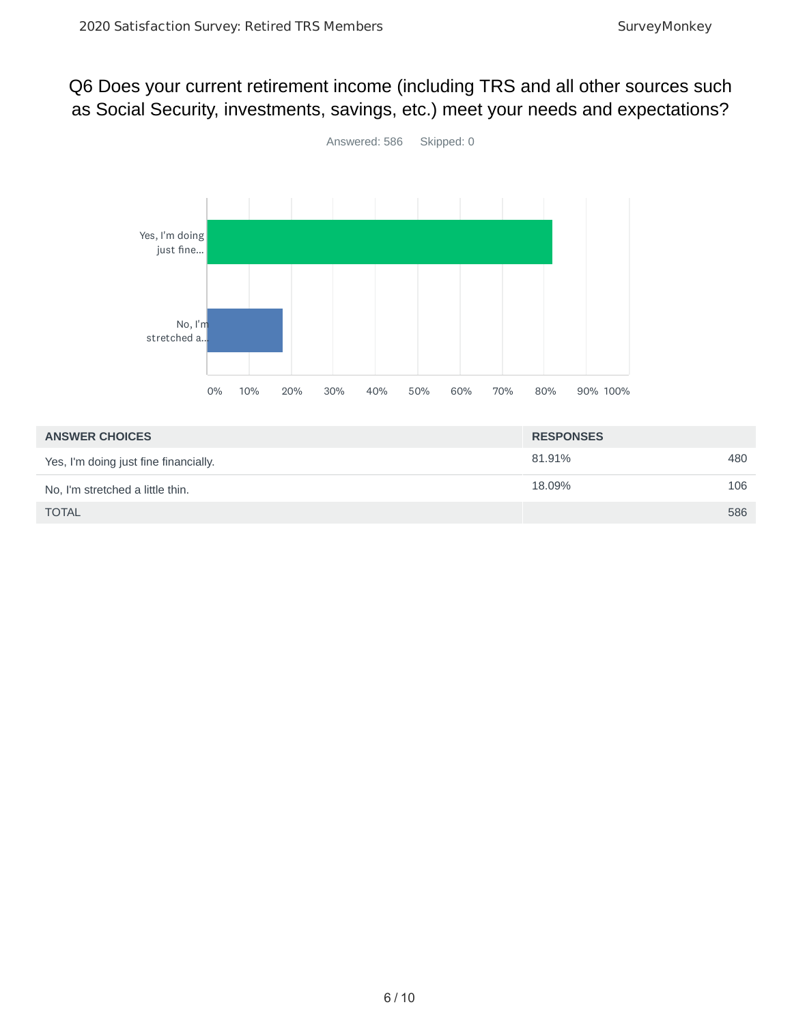## Q6 Does your current retirement income (including TRS and all other sources such as Social Security, investments, savings, etc.) meet your needs and expectations?



| <b>ANSWER CHOICES</b>                 | <b>RESPONSES</b> |     |
|---------------------------------------|------------------|-----|
| Yes, I'm doing just fine financially. | 81.91%           | 480 |
| No, I'm stretched a little thin.      | 18.09%           | 106 |
| <b>TOTAL</b>                          |                  | 586 |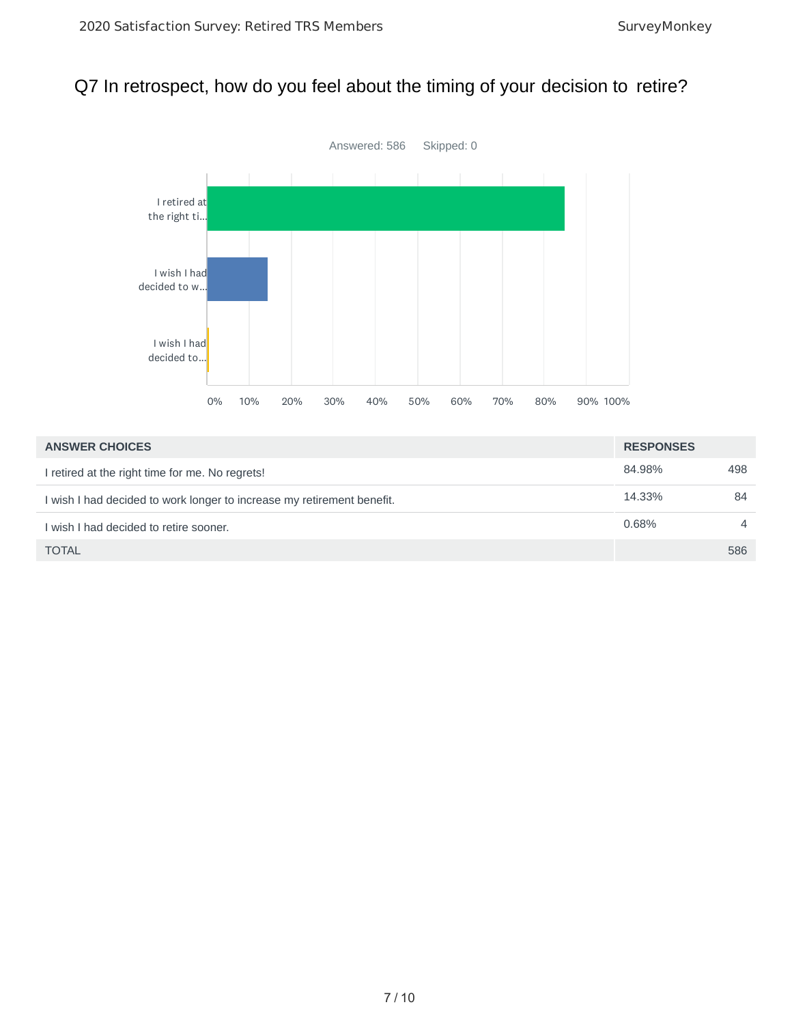## Q7 In retrospect, how do you feel about the timing of your decision to retire?



| <b>ANSWER CHOICES</b>                                                  | <b>RESPONSES</b> |                |
|------------------------------------------------------------------------|------------------|----------------|
| I retired at the right time for me. No regrets!                        | 84.98%           | 498            |
| I wish I had decided to work longer to increase my retirement benefit. | 14.33%           | 84             |
| I wish I had decided to retire sooner.                                 | 0.68%            | $\overline{4}$ |
| <b>TOTAL</b>                                                           |                  | 586            |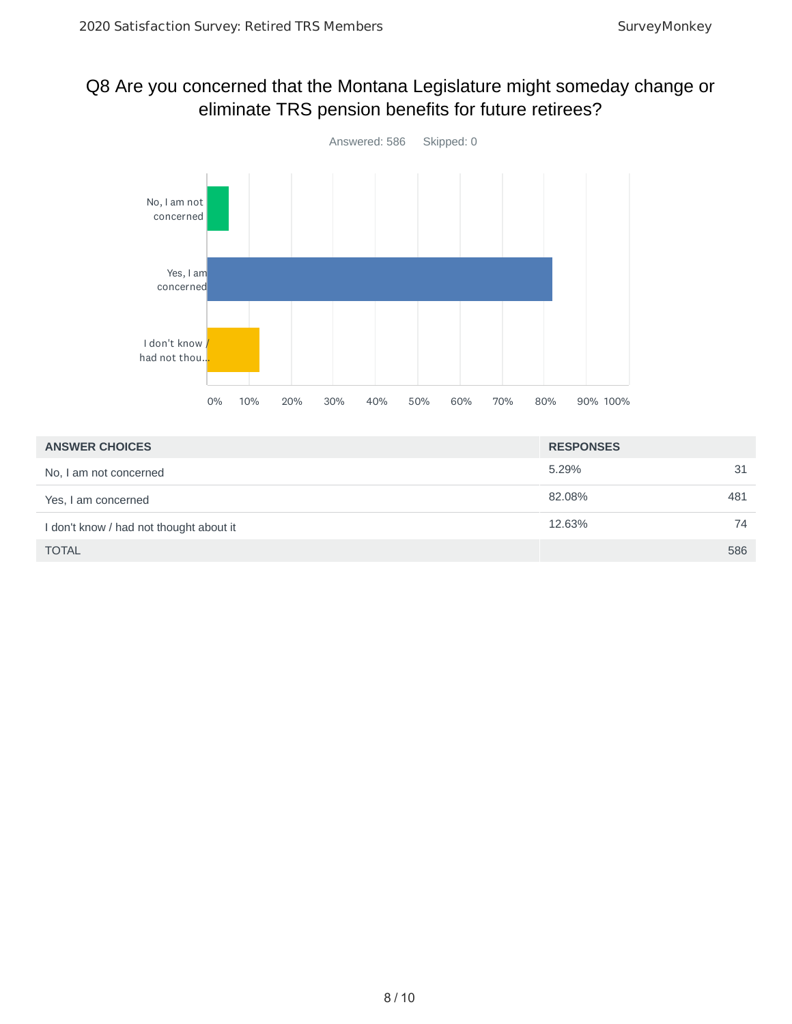## Q8 Are you concerned that the Montana Legislature might someday change or eliminate TRS pension benefits for future retirees?



| <b>ANSWER CHOICES</b>                   | <b>RESPONSES</b> |     |
|-----------------------------------------|------------------|-----|
| No, I am not concerned                  | 5.29%            | 31  |
| Yes, I am concerned                     | 82.08%           | 481 |
| I don't know / had not thought about it | 12.63%           | 74  |
| <b>TOTAL</b>                            |                  | 586 |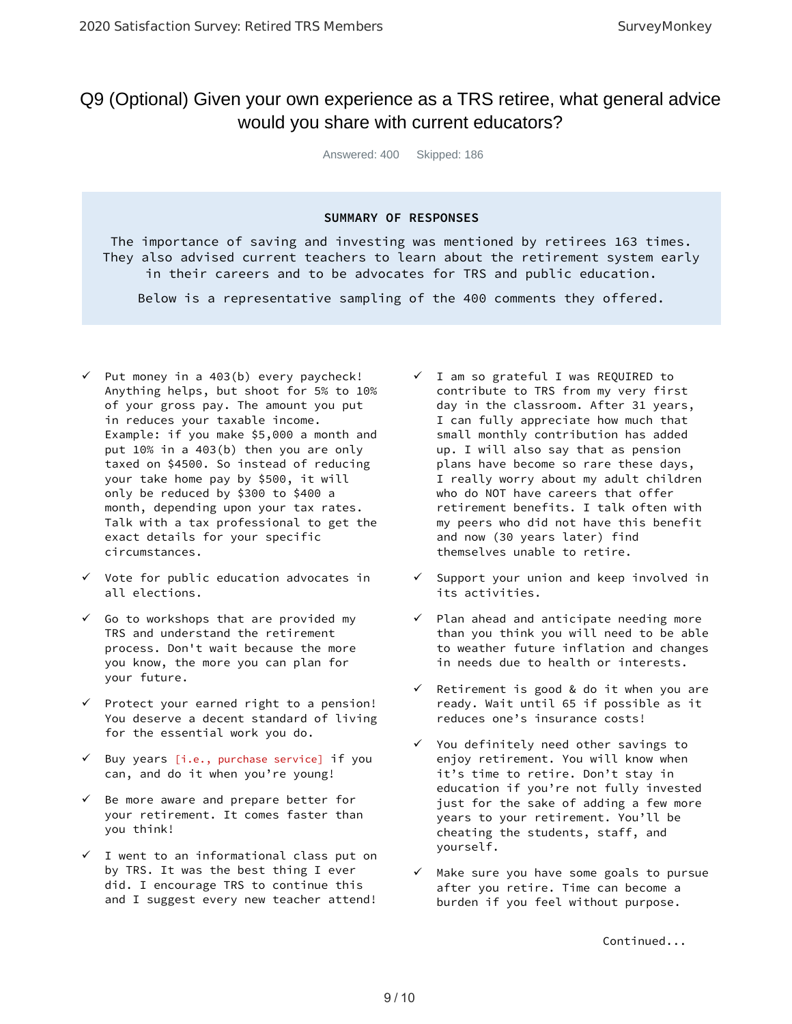#### Q9 (Optional) Given your own experience as a TRS retiree, what general advice would you share with current educators?

Answered: 400 Skipped: 186

#### **SUMMARY OF RESPONSES**

The importance of saving and investing was mentioned by retirees 163 times. They also advised current teachers to learn about the retirement system early in their careers and to be advocates for TRS and public education.

Below is a representative sampling of the 400 comments they offered.

- $\checkmark$  Put money in a 403(b) every paycheck! Anything helps, but shoot for 5% to 10% of your gross pay. The amount you put in reduces your taxable income. Example: if you make \$5,000 a month and put 10% in a 403(b) then you are only taxed on \$4500. So instead of reducing your take home pay by \$500, it will only be reduced by \$300 to \$400 a month, depending upon your tax rates. Talk with a tax professional to get the exact details for your specific circumstances.
- $\checkmark$  Vote for public education advocates in all elections.
- $\checkmark$  Go to workshops that are provided my TRS and understand the retirement process. Don't wait because the more you know, the more you can plan for your future.
- $\checkmark$  Protect your earned right to a pension! You deserve a decent standard of living for the essential work you do.
- $\checkmark$  Buy years [i.e., purchase service] if you can, and do it when you're young!
- $\checkmark$  Be more aware and prepare better for your retirement. It comes faster than you think!
- $\checkmark$  I went to an informational class put on by TRS. It was the best thing I ever did. I encourage TRS to continue this and I suggest every new teacher attend!
- $\checkmark$  I am so grateful I was REQUIRED to contribute to TRS from my very first day in the classroom. After 31 years, I can fully appreciate how much that small monthly contribution has added up. I will also say that as pension plans have become so rare these days, I really worry about my adult children who do NOT have careers that offer retirement benefits. I talk often with my peers who did not have this benefit and now (30 years later) find themselves unable to retire.
- $\checkmark$  Support your union and keep involved in its activities.
- $\checkmark$  Plan ahead and anticipate needing more than you think you will need to be able to weather future inflation and changes in needs due to health or interests.
- $\checkmark$  Retirement is good & do it when you are ready. Wait until 65 if possible as it reduces one's insurance costs!
- $\checkmark$  You definitely need other savings to enjoy retirement. You will know when it's time to retire. Don't stay in education if you're not fully invested just for the sake of adding a few more years to your retirement. You'll be cheating the students, staff, and yourself.
- $\checkmark$  Make sure you have some goals to pursue after you retire. Time can become a burden if you feel without purpose.

Continued...